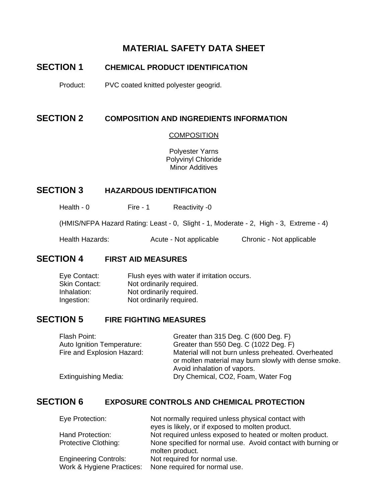## **MATERIAL SAFETY DATA SHEET**

## **SECTION 1 CHEMICAL PRODUCT IDENTIFICATION**

Product: PVC coated knitted polyester geogrid.

#### **SECTION 2 COMPOSITION AND INGREDIENTS INFORMATION**

#### **COMPOSITION**

Polyester Yarns Polyvinyl Chloride Minor Additives

#### **SECTION 3 HAZARDOUS IDENTIFICATION**

Health - 0 Fire - 1 Reactivity - 0

(HMIS/NFPA Hazard Rating: Least - 0, Slight - 1, Moderate - 2, High - 3, Extreme - 4)

Health Hazards: Acute - Not applicable Chronic - Not applicable

#### **SECTION 4 FIRST AID MEASURES**

| Eye Contact:  | Flush eyes with water if irritation occurs. |
|---------------|---------------------------------------------|
| Skin Contact: | Not ordinarily required.                    |
| Inhalation:   | Not ordinarily required.                    |
| Ingestion:    | Not ordinarily required.                    |

#### **SECTION 5 FIRE FIGHTING MEASURES**

| Flash Point:               | Greater than 315 Deg. C (600 Deg. F)                 |
|----------------------------|------------------------------------------------------|
| Auto Ignition Temperature: | Greater than 550 Deg. C (1022 Deg. F)                |
| Fire and Explosion Hazard: | Material will not burn unless preheated. Overheated  |
|                            | or molten material may burn slowly with dense smoke. |
|                            | Avoid inhalation of vapors.                          |
| Extinguishing Media:       | Dry Chemical, CO2, Foam, Water Fog                   |

## **SECTION 6 EXPOSURE CONTROLS AND CHEMICAL PROTECTION**

| Eye Protection:              | Not normally required unless physical contact with           |
|------------------------------|--------------------------------------------------------------|
|                              | eyes is likely, or if exposed to molten product.             |
| Hand Protection:             | Not required unless exposed to heated or molten product.     |
| <b>Protective Clothing:</b>  | None specified for normal use. Avoid contact with burning or |
|                              | molten product.                                              |
| <b>Engineering Controls:</b> | Not required for normal use.                                 |
| Work & Hygiene Practices:    | None required for normal use.                                |